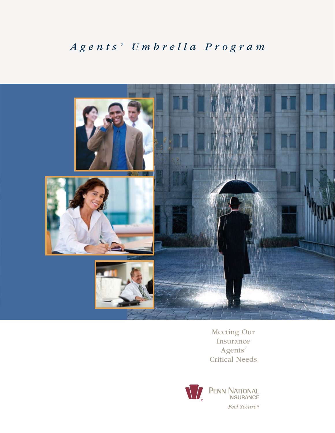## *Agents' Umbrella Program*



Meeting Our Insurance Agents' Critical Needs

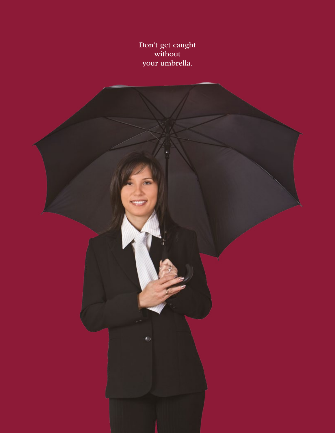Don't get caught without your umbrella.

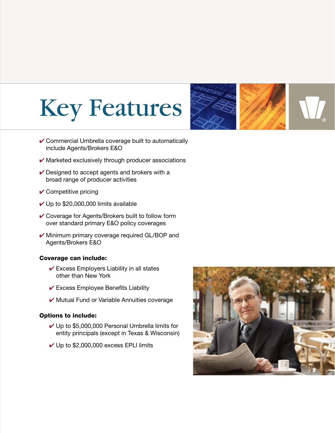# Key Features



- Gommercial Umbrella coverage built to automatically include Agents/Brokers E&O
- $\vee$  Marketed exclusively through producer associations
- $\vee$  Designed to accept agents and brokers with a broad range of producer activities
- $\checkmark$  Competitive pricing
- $\vee$  Up to \$20,000,000 limits available
- 4 Coverage for Agents/Brokers built to follow form over standard primary E&O policy coverages
- **► Minimum primary coverage required GL/BOP and** Agents/Brokers E&O

#### Coverage can include:

- $\checkmark$  Excess Employers Liability in all states other than New York
- $\checkmark$  Excess Employee Benefits Liability
- $\blacktriangleright$  Mutual Fund or Variable Annuities coverage

#### Options to include:

- ✔ Up to \$5,000,000 Personal Umbrella limits for entity principals (except in Texas & Wisconsin)
- $\vee$  Up to \$2,000,000 excess EPLI limits

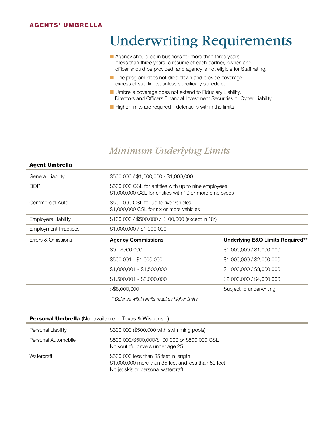#### Agents' Umbrella

# Underwriting Requirements

- **n** Agency should be in business for more than three years. If less than three years, a résumé of each partner, owner, and officer should be provided, and agency is not eligible for Staff rating.
- **n** The program does not drop down and provide coverage excess of sub-limits, unless specifically scheduled.
- **n** Umbrella coverage does not extend to Fiduciary Liability, Directors and Officers Financial Investment Securities or Cyber Liability.
- **n** Higher limits are required if defense is within the limits.

### *Minimum Underlying Limits*

| <b>Agent Umbrella</b>       |                                                                                                                |                                  |
|-----------------------------|----------------------------------------------------------------------------------------------------------------|----------------------------------|
| General Liability           | \$500,000 / \$1,000,000 / \$1,000,000                                                                          |                                  |
| <b>BOP</b>                  | \$500,000 CSL for entities with up to nine employees<br>\$1,000,000 CSL for entities with 10 or more employees |                                  |
| Commercial Auto             | \$500,000 CSL for up to five vehicles<br>\$1,000,000 CSL for six or more vehicles                              |                                  |
| <b>Employers Liability</b>  | \$100,000 / \$500,000 / \$100,000 (except in NY)                                                               |                                  |
| <b>Employment Practices</b> | \$1,000,000 / \$1,000,000                                                                                      |                                  |
| Errors & Omissions          | <b>Agency Commissions</b>                                                                                      | Underlying E&O Limits Required** |
|                             | $$0 - $500,000$                                                                                                | \$1,000,000 / \$1,000,000        |
|                             | $$500,001 - $1,000,000$                                                                                        | \$1,000,000 / \$2,000,000        |
|                             | $$1,000,001 - $1,500,000$                                                                                      | \$1,000,000 / \$3,000,000        |
|                             | $$1,500,001 - $8,000,000$                                                                                      | \$2,000,000 / \$4,000,000        |
|                             | $>$ \$8,000,000                                                                                                | Subject to underwriting          |
|                             |                                                                                                                |                                  |

*\*\*Defense within limits requires higher limits* 

#### Personal Umbrella (Not available in Texas & Wisconsin)

| Personal Liability  | \$300,000 (\$500,000 with swimming pools)                                                                                          |
|---------------------|------------------------------------------------------------------------------------------------------------------------------------|
| Personal Automobile | \$500,000/\$500,000/\$100,000 or \$500,000 CSL<br>No youthful drivers under age 25                                                 |
| Watercraft          | \$500,000 less than 35 feet in length<br>\$1,000,000 more than 35 feet and less than 50 feet<br>No jet skis or personal watercraft |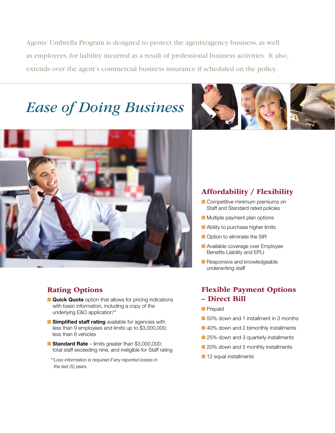Agents' Umbrella Program is designed to protect the agents/agency business, as well as employees, for liability incurred as a result of professional business activities. It also, extends over the agent's commercial business insurance if scheduled on the policy.

# *Ease of Doing Business*



### Rating Options

- **n Quick Quote** option that allows for pricing indications with basic information, including a copy of the underlying E&O application\*\*
- **n** Simplified staff rating available for agencies with less than 9 employees and limits up to \$3,000,000; less than 6 vehicles
- **n** Standard Rate limits greater than \$3,000,000; total staff exceeding nine, and ineligible for Staff rating
	- *\*\*Loss information is required if any reported losses in the last (5) years.*



### Affordability / Flexibility

- **n** Competitive minimum premiums on Staff and Standard rated policies
- **n** Multiple payment plan options
- **n** Ability to purchase higher limits
- **n** Option to eliminate the SIR
- **n** Available coverage over Employee Benefits Liability and EPLI
- Responsive and knowledgeable underwriting staff

#### Flexible Payment Options – Direct Bill

- **n** Prepaid
- 50% down and 1 installment in 3 months
- **n** 40% down and 2 bimonthly installments
- 25% down and 3 quarterly installments
- 20% down and 5 monthly installments
- 12 equal installments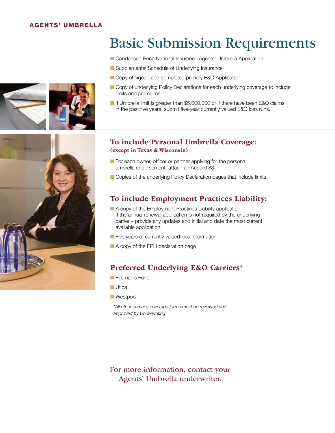



# Basic Submission Requirements

- **n** Condensed Penn National Insurance Agents' Umbrella Application
- **n** Supplemental Schedule of Underlying Insurance
- Copy of signed and completed primary E&O Application
- Copy of underlying Policy Declarations for each underlying coverage to include limits and premiums
- If Umbrella limit is greater than \$5,000,000 or if there have been E&O claims in the past five years, submit five-year currently valued E&O loss runs.

### To include Personal Umbrella Coverage:

#### (except in Texas & Wisconsin)

- $\blacksquare$  For each owner, officer or partner applying for the personal umbrella endorsement, attach an Accord 83
- Copies of the underlying Policy Declaration pages that include limits

### To include Employment Practices Liability:

- **n** A copy of the Employment Practices Liability application. If the annual renewal application is not required by the underlying carrier – provide any updates and initial and date the most current available application.
- **n** Five years of currently valued loss information
- A copy of the EPLI declaration page

#### Preferred Underlying E&O Carriers\*

- **Fireman's Fund**
- **n** Utica
- **Nestport**

*\*All other carrier's coverage forms must be reviewed and approved by Underwriting*

For more information, contact your Agents' Umbrella underwriter.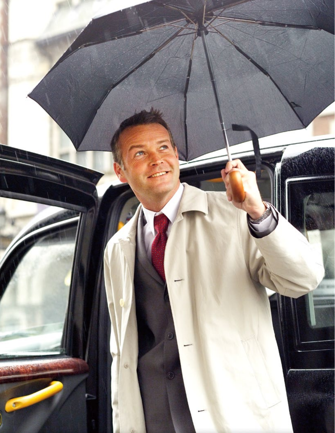